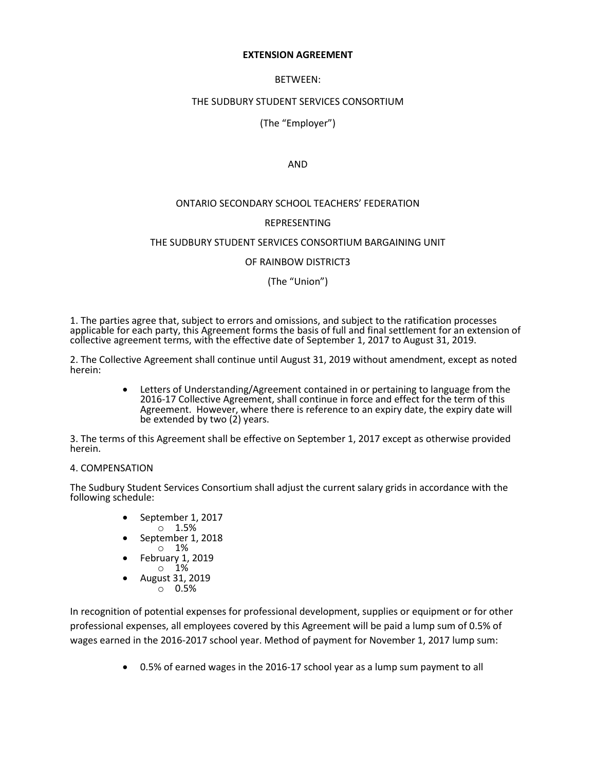#### **EXTENSION AGREEMENT**

### BETWEEN:

## THE SUDBURY STUDENT SERVICES CONSORTIUM

# (The "Employer")

### AND

### ONTARIO SECONDARY SCHOOL TEACHERS' FEDERATION

## REPRESENTING

### THE SUDBURY STUDENT SERVICES CONSORTIUM BARGAINING UNIT

OF RAINBOW DISTRICT3

(The "Union")

1. The parties agree that, subject to errors and omissions, and subject to the ratification processes applicable for each party, this Agreement forms the basis of full and final settlement for an extension of collective agreement terms, with the effective date of September 1, 2017 to August 31, 2019.

2. The Collective Agreement shall continue until August 31, 2019 without amendment, except as noted herein:

> Letters of Understanding/Agreement contained in or pertaining to language from the 2016-17 Collective Agreement, shall continue in force and effect for the term of this Agreement. However, where there is reference to an expiry date, the expiry date will be extended by two (2) years.

3. The terms of this Agreement shall be effective on September 1, 2017 except as otherwise provided herein.

### 4. COMPENSATION

The Sudbury Student Services Consortium shall adjust the current salary grids in accordance with the following schedule:

- September 1, 2017
- o 1.5% September 1, 2018
- $\circ$  1%
- February 1, 2019 o 1%
- August 31, 2019
- o 0.5%

In recognition of potential expenses for professional development, supplies or equipment or for other professional expenses, all employees covered by this Agreement will be paid a lump sum of 0.5% of wages earned in the 2016-2017 school year. Method of payment for November 1, 2017 lump sum:

0.5% of earned wages in the 2016-17 school year as a lump sum payment to all